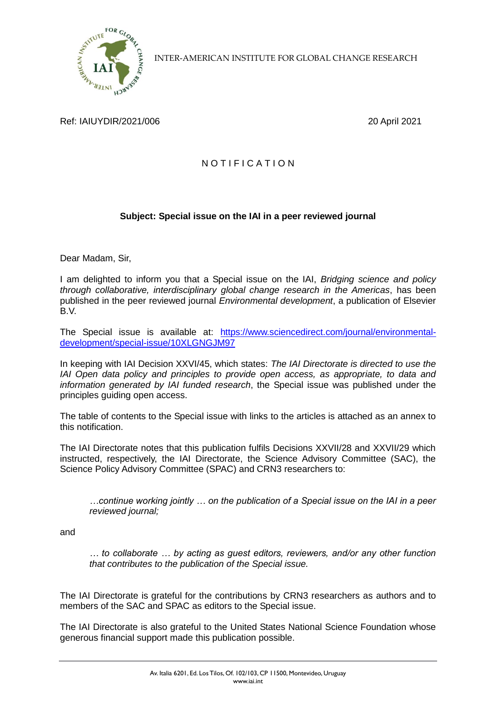

INTER-AMERICAN INSTITUTE FOR GLOBAL CHANGE RESEARCH

## Ref: IAIUYDIR/2021/006 20 April 2021

## N O T I F I C A T I O N

## **Subject: Special issue on the IAI in a peer reviewed journal**

Dear Madam, Sir,

I am delighted to inform you that a Special issue on the IAI, *Bridging science and policy through collaborative, interdisciplinary global change research in the Americas*, has been published in the peer reviewed journal *Environmental development*, a publication of Elsevier B.V.

The Special issue is available at: [https://www.sciencedirect.com/journal/environmental](https://www.sciencedirect.com/journal/environmental-development/special-issue/10XLGNGJM97)[development/special-issue/10XLGNGJM97](https://www.sciencedirect.com/journal/environmental-development/special-issue/10XLGNGJM97)

In keeping with IAI Decision XXVI/45, which states: *The IAI Directorate is directed to use the IAI Open data policy and principles to provide open access, as appropriate, to data and information generated by IAI funded research*, the Special issue was published under the principles guiding open access.

The table of contents to the Special issue with links to the articles is attached as an annex to this notification.

The IAI Directorate notes that this publication fulfils Decisions XXVII/28 and XXVII/29 which instructed, respectively, the IAI Directorate, the Science Advisory Committee (SAC), the Science Policy Advisory Committee (SPAC) and CRN3 researchers to:

*…continue working jointly … on the publication of a Special issue on the IAI in a peer reviewed journal;*

and

*… to collaborate … by acting as guest editors, reviewers, and/or any other function that contributes to the publication of the Special issue.*

The IAI Directorate is grateful for the contributions by CRN3 researchers as authors and to members of the SAC and SPAC as editors to the Special issue.

The IAI Directorate is also grateful to the United States National Science Foundation whose generous financial support made this publication possible.